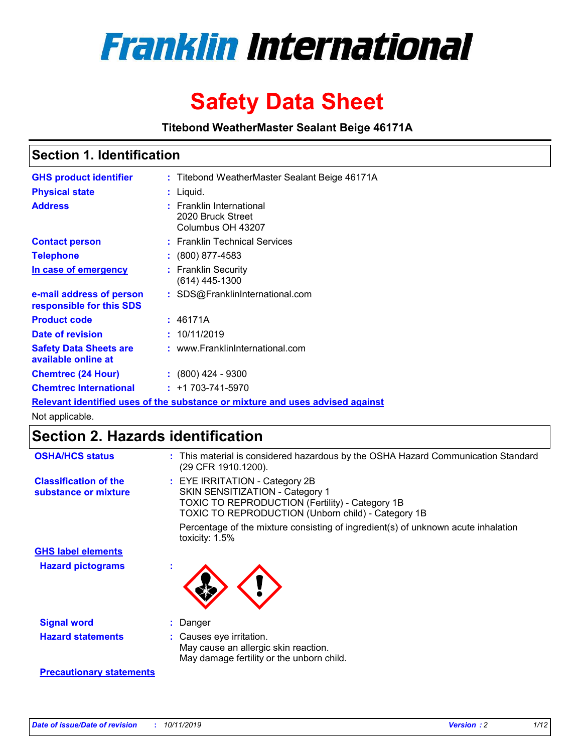

# **Safety Data Sheet**

**Titebond WeatherMaster Sealant Beige 46171A**

### **Section 1. Identification**

| <b>GHS product identifier</b>                        | : Titebond WeatherMaster Sealant Beige 46171A                                 |
|------------------------------------------------------|-------------------------------------------------------------------------------|
| <b>Physical state</b>                                | : Liquid.                                                                     |
| <b>Address</b>                                       | : Franklin International<br>2020 Bruck Street<br>Columbus OH 43207            |
| <b>Contact person</b>                                | : Franklin Technical Services                                                 |
| <b>Telephone</b>                                     | $\colon$ (800) 877-4583                                                       |
| In case of emergency                                 | : Franklin Security<br>(614) 445-1300                                         |
| e-mail address of person<br>responsible for this SDS | : SDS@FranklinInternational.com                                               |
| <b>Product code</b>                                  | : 46171A                                                                      |
| Date of revision                                     | : 10/11/2019                                                                  |
| <b>Safety Data Sheets are</b><br>available online at | : www.FranklinInternational.com                                               |
| <b>Chemtrec (24 Hour)</b>                            | $\div$ (800) 424 - 9300                                                       |
| <b>Chemtrec International</b>                        | $: +1703 - 741 - 5970$                                                        |
|                                                      | Relevant identified uses of the substance or mixture and uses advised against |

Not applicable.

## **Section 2. Hazards identification**

| <b>OSHA/HCS status</b>                               | : This material is considered hazardous by the OSHA Hazard Communication Standard<br>(29 CFR 1910.1200).                                                                          |
|------------------------------------------------------|-----------------------------------------------------------------------------------------------------------------------------------------------------------------------------------|
| <b>Classification of the</b><br>substance or mixture | : EYE IRRITATION - Category 2B<br>SKIN SENSITIZATION - Category 1<br><b>TOXIC TO REPRODUCTION (Fertility) - Category 1B</b><br>TOXIC TO REPRODUCTION (Unborn child) - Category 1B |
|                                                      | Percentage of the mixture consisting of ingredient(s) of unknown acute inhalation<br>toxicity: $1.5\%$                                                                            |
| <b>GHS label elements</b>                            |                                                                                                                                                                                   |
| <b>Hazard pictograms</b>                             |                                                                                                                                                                                   |
| <b>Signal word</b>                                   | : Danger                                                                                                                                                                          |
| <b>Hazard statements</b>                             | : Causes eye irritation.<br>May cause an allergic skin reaction.<br>May damage fertility or the unborn child.                                                                     |
| <b>Precautionary statements</b>                      |                                                                                                                                                                                   |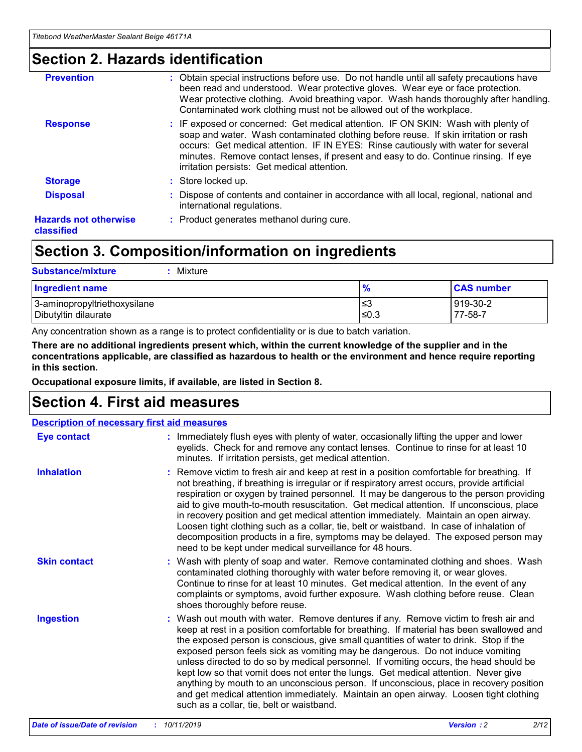### **Section 2. Hazards identification**

| <b>Prevention</b>                          | : Obtain special instructions before use. Do not handle until all safety precautions have<br>been read and understood. Wear protective gloves. Wear eye or face protection.<br>Wear protective clothing. Avoid breathing vapor. Wash hands thoroughly after handling.<br>Contaminated work clothing must not be allowed out of the workplace.                                                        |
|--------------------------------------------|------------------------------------------------------------------------------------------------------------------------------------------------------------------------------------------------------------------------------------------------------------------------------------------------------------------------------------------------------------------------------------------------------|
| <b>Response</b>                            | : IF exposed or concerned: Get medical attention. IF ON SKIN: Wash with plenty of<br>soap and water. Wash contaminated clothing before reuse. If skin irritation or rash<br>occurs: Get medical attention. IF IN EYES: Rinse cautiously with water for several<br>minutes. Remove contact lenses, if present and easy to do. Continue rinsing. If eye<br>irritation persists: Get medical attention. |
| <b>Storage</b>                             | : Store locked up.                                                                                                                                                                                                                                                                                                                                                                                   |
| <b>Disposal</b>                            | : Dispose of contents and container in accordance with all local, regional, national and<br>international regulations.                                                                                                                                                                                                                                                                               |
| <b>Hazards not otherwise</b><br>classified | : Product generates methanol during cure.                                                                                                                                                                                                                                                                                                                                                            |
|                                            |                                                                                                                                                                                                                                                                                                                                                                                                      |

### **Section 3. Composition/information on ingredients**

| <b>Substance/mixture</b><br>Mixture                  |               |                     |
|------------------------------------------------------|---------------|---------------------|
| <b>Ingredient name</b>                               | $\frac{9}{6}$ | <b>CAS number</b>   |
| 3-aminopropyltriethoxysilane<br>Dibutyltin dilaurate | ≤3<br>$≤0.3$  | 919-30-2<br>77-58-7 |

Any concentration shown as a range is to protect confidentiality or is due to batch variation.

**There are no additional ingredients present which, within the current knowledge of the supplier and in the concentrations applicable, are classified as hazardous to health or the environment and hence require reporting in this section.**

**Occupational exposure limits, if available, are listed in Section 8.**

### **Section 4. First aid measures**

| <b>Description of necessary first aid measures</b> |                                                                                                                                                                                                                                                                                                                                                                                                                                                                                                                                                                                                                                                                                                                                                                           |  |  |  |
|----------------------------------------------------|---------------------------------------------------------------------------------------------------------------------------------------------------------------------------------------------------------------------------------------------------------------------------------------------------------------------------------------------------------------------------------------------------------------------------------------------------------------------------------------------------------------------------------------------------------------------------------------------------------------------------------------------------------------------------------------------------------------------------------------------------------------------------|--|--|--|
| <b>Eye contact</b>                                 | : Immediately flush eyes with plenty of water, occasionally lifting the upper and lower<br>eyelids. Check for and remove any contact lenses. Continue to rinse for at least 10<br>minutes. If irritation persists, get medical attention.                                                                                                                                                                                                                                                                                                                                                                                                                                                                                                                                 |  |  |  |
| <b>Inhalation</b>                                  | : Remove victim to fresh air and keep at rest in a position comfortable for breathing. If<br>not breathing, if breathing is irregular or if respiratory arrest occurs, provide artificial<br>respiration or oxygen by trained personnel. It may be dangerous to the person providing<br>aid to give mouth-to-mouth resuscitation. Get medical attention. If unconscious, place<br>in recovery position and get medical attention immediately. Maintain an open airway.<br>Loosen tight clothing such as a collar, tie, belt or waistband. In case of inhalation of<br>decomposition products in a fire, symptoms may be delayed. The exposed person may<br>need to be kept under medical surveillance for 48 hours.                                                       |  |  |  |
| <b>Skin contact</b>                                | : Wash with plenty of soap and water. Remove contaminated clothing and shoes. Wash<br>contaminated clothing thoroughly with water before removing it, or wear gloves.<br>Continue to rinse for at least 10 minutes. Get medical attention. In the event of any<br>complaints or symptoms, avoid further exposure. Wash clothing before reuse. Clean<br>shoes thoroughly before reuse.                                                                                                                                                                                                                                                                                                                                                                                     |  |  |  |
| <b>Ingestion</b>                                   | : Wash out mouth with water. Remove dentures if any. Remove victim to fresh air and<br>keep at rest in a position comfortable for breathing. If material has been swallowed and<br>the exposed person is conscious, give small quantities of water to drink. Stop if the<br>exposed person feels sick as vomiting may be dangerous. Do not induce vomiting<br>unless directed to do so by medical personnel. If vomiting occurs, the head should be<br>kept low so that vomit does not enter the lungs. Get medical attention. Never give<br>anything by mouth to an unconscious person. If unconscious, place in recovery position<br>and get medical attention immediately. Maintain an open airway. Loosen tight clothing<br>such as a collar, tie, belt or waistband. |  |  |  |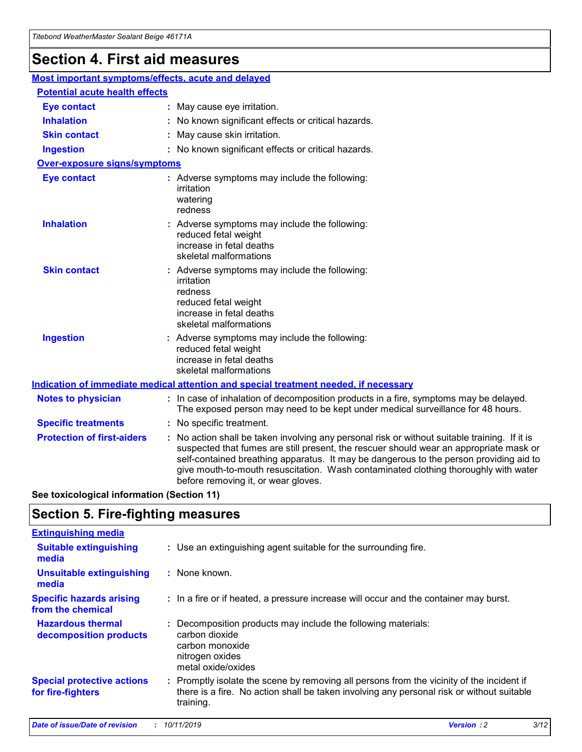## **Section 4. First aid measures**

| Most important symptoms/effects, acute and delayed |                                       |                                                                                                                                                                                                                                                                                                                                                                                                                 |  |  |  |
|----------------------------------------------------|---------------------------------------|-----------------------------------------------------------------------------------------------------------------------------------------------------------------------------------------------------------------------------------------------------------------------------------------------------------------------------------------------------------------------------------------------------------------|--|--|--|
|                                                    | <b>Potential acute health effects</b> |                                                                                                                                                                                                                                                                                                                                                                                                                 |  |  |  |
| <b>Eye contact</b>                                 |                                       | : May cause eye irritation.                                                                                                                                                                                                                                                                                                                                                                                     |  |  |  |
| <b>Inhalation</b>                                  |                                       | : No known significant effects or critical hazards.                                                                                                                                                                                                                                                                                                                                                             |  |  |  |
| <b>Skin contact</b>                                |                                       | : May cause skin irritation.                                                                                                                                                                                                                                                                                                                                                                                    |  |  |  |
| <b>Ingestion</b>                                   |                                       | : No known significant effects or critical hazards.                                                                                                                                                                                                                                                                                                                                                             |  |  |  |
| <b>Over-exposure signs/symptoms</b>                |                                       |                                                                                                                                                                                                                                                                                                                                                                                                                 |  |  |  |
| <b>Eye contact</b>                                 |                                       | : Adverse symptoms may include the following:<br>irritation<br>watering<br>redness                                                                                                                                                                                                                                                                                                                              |  |  |  |
| <b>Inhalation</b>                                  |                                       | : Adverse symptoms may include the following:<br>reduced fetal weight<br>increase in fetal deaths<br>skeletal malformations                                                                                                                                                                                                                                                                                     |  |  |  |
| <b>Skin contact</b>                                |                                       | : Adverse symptoms may include the following:<br>irritation<br>redness<br>reduced fetal weight<br>increase in fetal deaths<br>skeletal malformations                                                                                                                                                                                                                                                            |  |  |  |
| <b>Ingestion</b>                                   |                                       | : Adverse symptoms may include the following:<br>reduced fetal weight<br>increase in fetal deaths<br>skeletal malformations                                                                                                                                                                                                                                                                                     |  |  |  |
|                                                    |                                       | <b>Indication of immediate medical attention and special treatment needed, if necessary</b>                                                                                                                                                                                                                                                                                                                     |  |  |  |
| <b>Notes to physician</b>                          |                                       | : In case of inhalation of decomposition products in a fire, symptoms may be delayed.<br>The exposed person may need to be kept under medical surveillance for 48 hours.                                                                                                                                                                                                                                        |  |  |  |
| <b>Specific treatments</b>                         |                                       | : No specific treatment.                                                                                                                                                                                                                                                                                                                                                                                        |  |  |  |
| <b>Protection of first-aiders</b>                  |                                       | : No action shall be taken involving any personal risk or without suitable training. If it is<br>suspected that fumes are still present, the rescuer should wear an appropriate mask or<br>self-contained breathing apparatus. It may be dangerous to the person providing aid to<br>give mouth-to-mouth resuscitation. Wash contaminated clothing thoroughly with water<br>before removing it, or wear gloves. |  |  |  |

**See toxicological information (Section 11)**

### **Section 5. Fire-fighting measures**

| <b>Extinguishing media</b>                             |                                                                                                                                                                                                     |
|--------------------------------------------------------|-----------------------------------------------------------------------------------------------------------------------------------------------------------------------------------------------------|
| <b>Suitable extinguishing</b><br>media                 | : Use an extinguishing agent suitable for the surrounding fire.                                                                                                                                     |
| <b>Unsuitable extinguishing</b><br>media               | : None known.                                                                                                                                                                                       |
| <b>Specific hazards arising</b><br>from the chemical   | : In a fire or if heated, a pressure increase will occur and the container may burst.                                                                                                               |
| <b>Hazardous thermal</b><br>decomposition products     | : Decomposition products may include the following materials:<br>carbon dioxide<br>carbon monoxide<br>nitrogen oxides<br>metal oxide/oxides                                                         |
| <b>Special protective actions</b><br>for fire-fighters | : Promptly isolate the scene by removing all persons from the vicinity of the incident if<br>there is a fire. No action shall be taken involving any personal risk or without suitable<br>training. |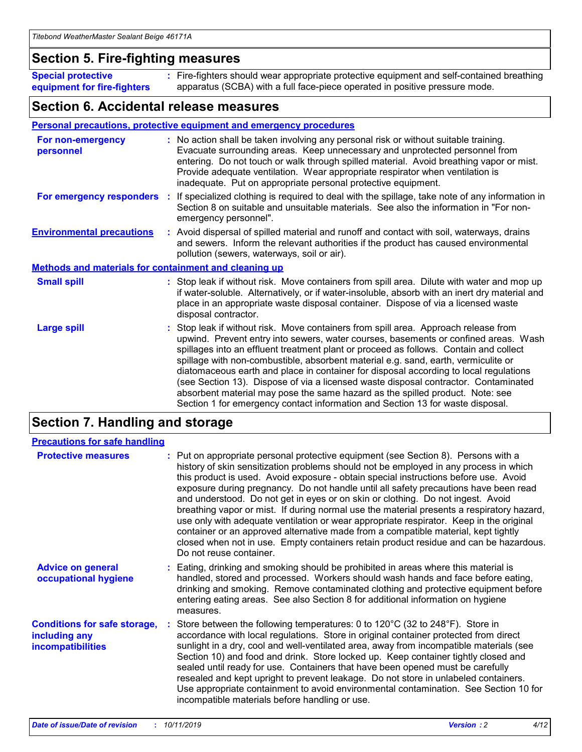### **Section 5. Fire-fighting measures**

**Special protective equipment for fire-fighters** Fire-fighters should wear appropriate protective equipment and self-contained breathing **:** apparatus (SCBA) with a full face-piece operated in positive pressure mode.

### **Section 6. Accidental release measures**

#### **Personal precautions, protective equipment and emergency procedures**

| For non-emergency<br>personnel                               | : No action shall be taken involving any personal risk or without suitable training.<br>Evacuate surrounding areas. Keep unnecessary and unprotected personnel from<br>entering. Do not touch or walk through spilled material. Avoid breathing vapor or mist.<br>Provide adequate ventilation. Wear appropriate respirator when ventilation is<br>inadequate. Put on appropriate personal protective equipment.                                                                                                                                                                                                                                                                                             |
|--------------------------------------------------------------|--------------------------------------------------------------------------------------------------------------------------------------------------------------------------------------------------------------------------------------------------------------------------------------------------------------------------------------------------------------------------------------------------------------------------------------------------------------------------------------------------------------------------------------------------------------------------------------------------------------------------------------------------------------------------------------------------------------|
|                                                              | For emergency responders : If specialized clothing is required to deal with the spillage, take note of any information in<br>Section 8 on suitable and unsuitable materials. See also the information in "For non-<br>emergency personnel".                                                                                                                                                                                                                                                                                                                                                                                                                                                                  |
| <b>Environmental precautions</b>                             | : Avoid dispersal of spilled material and runoff and contact with soil, waterways, drains<br>and sewers. Inform the relevant authorities if the product has caused environmental<br>pollution (sewers, waterways, soil or air).                                                                                                                                                                                                                                                                                                                                                                                                                                                                              |
| <b>Methods and materials for containment and cleaning up</b> |                                                                                                                                                                                                                                                                                                                                                                                                                                                                                                                                                                                                                                                                                                              |
| <b>Small spill</b>                                           | : Stop leak if without risk. Move containers from spill area. Dilute with water and mop up<br>if water-soluble. Alternatively, or if water-insoluble, absorb with an inert dry material and<br>place in an appropriate waste disposal container. Dispose of via a licensed waste<br>disposal contractor.                                                                                                                                                                                                                                                                                                                                                                                                     |
| <b>Large spill</b>                                           | : Stop leak if without risk. Move containers from spill area. Approach release from<br>upwind. Prevent entry into sewers, water courses, basements or confined areas. Wash<br>spillages into an effluent treatment plant or proceed as follows. Contain and collect<br>spillage with non-combustible, absorbent material e.g. sand, earth, vermiculite or<br>diatomaceous earth and place in container for disposal according to local regulations<br>(see Section 13). Dispose of via a licensed waste disposal contractor. Contaminated<br>absorbent material may pose the same hazard as the spilled product. Note: see<br>Section 1 for emergency contact information and Section 13 for waste disposal. |

### **Section 7. Handling and storage**

| <b>Precautions for safe handling</b>                                             |                                                                                                                                                                                                                                                                                                                                                                                                                                                                                                                                                                                                                                                                                                                                                                                                                                                  |
|----------------------------------------------------------------------------------|--------------------------------------------------------------------------------------------------------------------------------------------------------------------------------------------------------------------------------------------------------------------------------------------------------------------------------------------------------------------------------------------------------------------------------------------------------------------------------------------------------------------------------------------------------------------------------------------------------------------------------------------------------------------------------------------------------------------------------------------------------------------------------------------------------------------------------------------------|
| <b>Protective measures</b>                                                       | : Put on appropriate personal protective equipment (see Section 8). Persons with a<br>history of skin sensitization problems should not be employed in any process in which<br>this product is used. Avoid exposure - obtain special instructions before use. Avoid<br>exposure during pregnancy. Do not handle until all safety precautions have been read<br>and understood. Do not get in eyes or on skin or clothing. Do not ingest. Avoid<br>breathing vapor or mist. If during normal use the material presents a respiratory hazard,<br>use only with adequate ventilation or wear appropriate respirator. Keep in the original<br>container or an approved alternative made from a compatible material, kept tightly<br>closed when not in use. Empty containers retain product residue and can be hazardous.<br>Do not reuse container. |
| <b>Advice on general</b><br>occupational hygiene                                 | : Eating, drinking and smoking should be prohibited in areas where this material is<br>handled, stored and processed. Workers should wash hands and face before eating,<br>drinking and smoking. Remove contaminated clothing and protective equipment before<br>entering eating areas. See also Section 8 for additional information on hygiene<br>measures.                                                                                                                                                                                                                                                                                                                                                                                                                                                                                    |
| <b>Conditions for safe storage,</b><br>including any<br><b>incompatibilities</b> | : Store between the following temperatures: 0 to 120 $\degree$ C (32 to 248 $\degree$ F). Store in<br>accordance with local regulations. Store in original container protected from direct<br>sunlight in a dry, cool and well-ventilated area, away from incompatible materials (see<br>Section 10) and food and drink. Store locked up. Keep container tightly closed and<br>sealed until ready for use. Containers that have been opened must be carefully<br>resealed and kept upright to prevent leakage. Do not store in unlabeled containers.<br>Use appropriate containment to avoid environmental contamination. See Section 10 for<br>incompatible materials before handling or use.                                                                                                                                                   |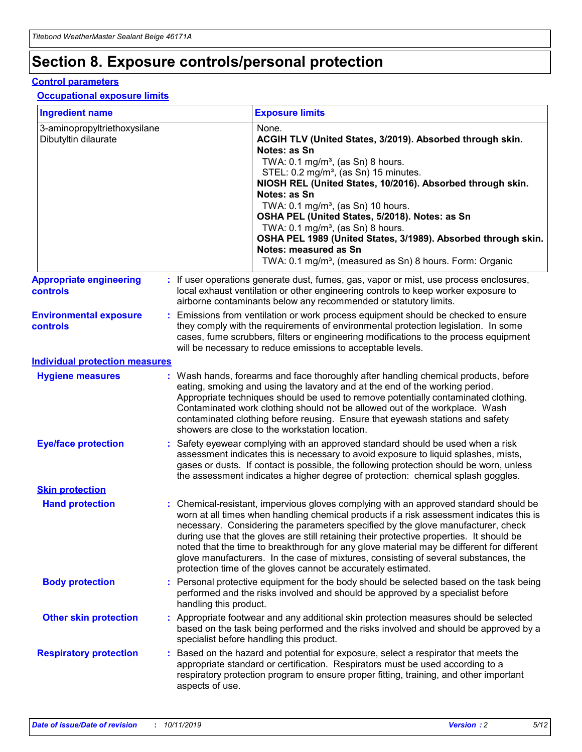## **Section 8. Exposure controls/personal protection**

#### **Control parameters**

#### **Occupational exposure limits**

| <b>Ingredient name</b>                               |    |                        | <b>Exposure limits</b>                                                                                                                                                                                                                                                                                                                                                                                                                                                                                                                                                                                                 |
|------------------------------------------------------|----|------------------------|------------------------------------------------------------------------------------------------------------------------------------------------------------------------------------------------------------------------------------------------------------------------------------------------------------------------------------------------------------------------------------------------------------------------------------------------------------------------------------------------------------------------------------------------------------------------------------------------------------------------|
| 3-aminopropyltriethoxysilane<br>Dibutyltin dilaurate |    |                        | None.<br>ACGIH TLV (United States, 3/2019). Absorbed through skin.<br>Notes: as Sn<br>TWA: $0.1 \text{ mg/m}^3$ , (as Sn) 8 hours.<br>STEL: 0.2 mg/m <sup>3</sup> , (as Sn) 15 minutes.<br>NIOSH REL (United States, 10/2016). Absorbed through skin.<br>Notes: as Sn<br>TWA: 0.1 mg/m <sup>3</sup> , (as Sn) 10 hours.<br>OSHA PEL (United States, 5/2018). Notes: as Sn<br>TWA: 0.1 mg/m <sup>3</sup> , (as Sn) 8 hours.<br>OSHA PEL 1989 (United States, 3/1989). Absorbed through skin.<br>Notes: measured as Sn<br>TWA: 0.1 mg/m <sup>3</sup> , (measured as Sn) 8 hours. Form: Organic                           |
| <b>Appropriate engineering</b><br>controls           |    |                        | : If user operations generate dust, fumes, gas, vapor or mist, use process enclosures,<br>local exhaust ventilation or other engineering controls to keep worker exposure to<br>airborne contaminants below any recommended or statutory limits.                                                                                                                                                                                                                                                                                                                                                                       |
| <b>Environmental exposure</b><br>controls            |    |                        | Emissions from ventilation or work process equipment should be checked to ensure<br>they comply with the requirements of environmental protection legislation. In some<br>cases, fume scrubbers, filters or engineering modifications to the process equipment<br>will be necessary to reduce emissions to acceptable levels.                                                                                                                                                                                                                                                                                          |
| <b>Individual protection measures</b>                |    |                        |                                                                                                                                                                                                                                                                                                                                                                                                                                                                                                                                                                                                                        |
| <b>Hygiene measures</b>                              |    |                        | : Wash hands, forearms and face thoroughly after handling chemical products, before<br>eating, smoking and using the lavatory and at the end of the working period.<br>Appropriate techniques should be used to remove potentially contaminated clothing.<br>Contaminated work clothing should not be allowed out of the workplace. Wash<br>contaminated clothing before reusing. Ensure that eyewash stations and safety<br>showers are close to the workstation location.                                                                                                                                            |
| <b>Eye/face protection</b>                           |    |                        | Safety eyewear complying with an approved standard should be used when a risk<br>assessment indicates this is necessary to avoid exposure to liquid splashes, mists,<br>gases or dusts. If contact is possible, the following protection should be worn, unless<br>the assessment indicates a higher degree of protection: chemical splash goggles.                                                                                                                                                                                                                                                                    |
| <b>Skin protection</b>                               |    |                        |                                                                                                                                                                                                                                                                                                                                                                                                                                                                                                                                                                                                                        |
| <b>Hand protection</b>                               |    |                        | : Chemical-resistant, impervious gloves complying with an approved standard should be<br>worn at all times when handling chemical products if a risk assessment indicates this is<br>necessary. Considering the parameters specified by the glove manufacturer, check<br>during use that the gloves are still retaining their protective properties. It should be<br>noted that the time to breakthrough for any glove material may be different for different<br>glove manufacturers. In the case of mixtures, consisting of several substances, the<br>protection time of the gloves cannot be accurately estimated. |
| <b>Body protection</b>                               |    | handling this product. | Personal protective equipment for the body should be selected based on the task being<br>performed and the risks involved and should be approved by a specialist before                                                                                                                                                                                                                                                                                                                                                                                                                                                |
| <b>Other skin protection</b>                         |    |                        | : Appropriate footwear and any additional skin protection measures should be selected<br>based on the task being performed and the risks involved and should be approved by a<br>specialist before handling this product.                                                                                                                                                                                                                                                                                                                                                                                              |
| <b>Respiratory protection</b>                        | ÷. | aspects of use.        | Based on the hazard and potential for exposure, select a respirator that meets the<br>appropriate standard or certification. Respirators must be used according to a<br>respiratory protection program to ensure proper fitting, training, and other important                                                                                                                                                                                                                                                                                                                                                         |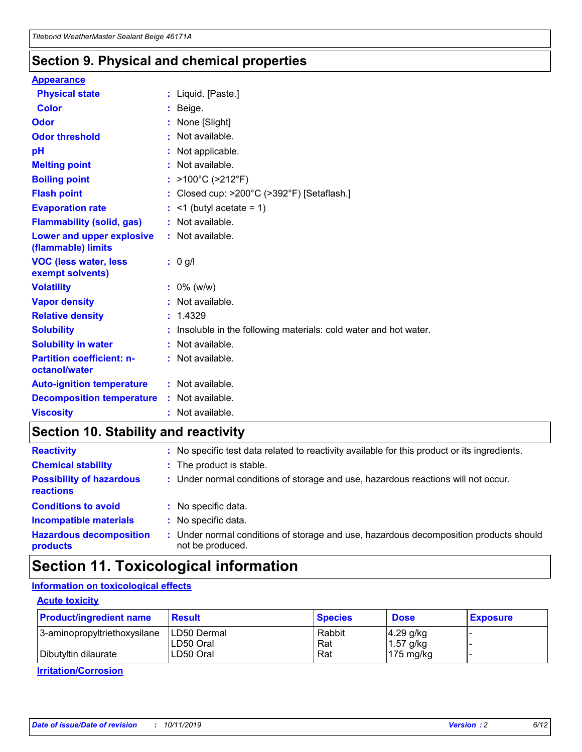### **Section 9. Physical and chemical properties**

#### **Appearance**

| <b>Physical state</b>                             | : Liquid. [Paste.]                                                |
|---------------------------------------------------|-------------------------------------------------------------------|
| <b>Color</b>                                      | Beige.                                                            |
| Odor                                              | None [Slight]                                                     |
| <b>Odor threshold</b>                             | : Not available.                                                  |
| рH                                                | : Not applicable.                                                 |
| <b>Melting point</b>                              | : Not available.                                                  |
| <b>Boiling point</b>                              | : $>100^{\circ}$ C ( $>212^{\circ}$ F)                            |
| <b>Flash point</b>                                | : Closed cup: >200°C (>392°F) [Setaflash.]                        |
| <b>Evaporation rate</b>                           | $:$ <1 (butyl acetate = 1)                                        |
| <b>Flammability (solid, gas)</b>                  | : Not available.                                                  |
| Lower and upper explosive<br>(flammable) limits   | : Not available.                                                  |
| <b>VOC (less water, less</b><br>exempt solvents)  | $: 0$ g/l                                                         |
| <b>Volatility</b>                                 | $: 0\%$ (w/w)                                                     |
| <b>Vapor density</b>                              | : Not available.                                                  |
| <b>Relative density</b>                           | : 1.4329                                                          |
| <b>Solubility</b>                                 | : Insoluble in the following materials: cold water and hot water. |
| <b>Solubility in water</b>                        | : Not available.                                                  |
| <b>Partition coefficient: n-</b><br>octanol/water | : Not available.                                                  |
| <b>Auto-ignition temperature</b>                  | $:$ Not available.                                                |
| <b>Decomposition temperature</b>                  | : Not available.                                                  |
| <b>Viscosity</b>                                  | : Not available.                                                  |

### **Section 10. Stability and reactivity**

| <b>Reactivity</b>                            |    | : No specific test data related to reactivity available for this product or its ingredients.            |
|----------------------------------------------|----|---------------------------------------------------------------------------------------------------------|
| <b>Chemical stability</b>                    |    | : The product is stable.                                                                                |
| <b>Possibility of hazardous</b><br>reactions |    | : Under normal conditions of storage and use, hazardous reactions will not occur.                       |
| <b>Conditions to avoid</b>                   |    | : No specific data.                                                                                     |
| <b>Incompatible materials</b>                | ٠. | No specific data.                                                                                       |
| <b>Hazardous decomposition</b><br>products   | ÷. | Under normal conditions of storage and use, hazardous decomposition products should<br>not be produced. |

### **Section 11. Toxicological information**

### **Information on toxicological effects**

#### **Acute toxicity**

| <b>Product/ingredient name</b> | <b>Result</b>           | <b>Species</b> | <b>Dose</b>                | <b>Exposure</b> |
|--------------------------------|-------------------------|----------------|----------------------------|-----------------|
| 3-aminopropyltriethoxysilane   | <b>ILD50 Dermal</b>     | Rabbit         | 4.29 g/kg                  |                 |
| Dibutyltin dilaurate           | ILD50 Oral<br>LD50 Oral | Rat<br>Rat     | $1.57$ g/kg<br>175 $mg/kg$ |                 |
|                                |                         |                |                            |                 |

**Irritation/Corrosion**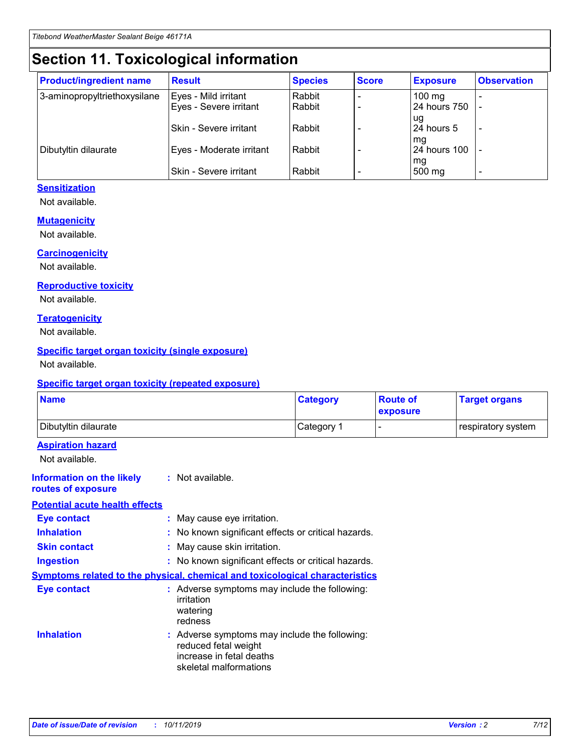## **Section 11. Toxicological information**

| <b>Product/ingredient name</b> | <b>Result</b>            | <b>Species</b> | <b>Score</b> | <b>Exposure</b>     | <b>Observation</b> |
|--------------------------------|--------------------------|----------------|--------------|---------------------|--------------------|
| 3-aminopropyltriethoxysilane   | Eyes - Mild irritant     | Rabbit         |              | $100 \text{ mg}$    |                    |
|                                | Eyes - Severe irritant   | Rabbit         |              | 24 hours 750        |                    |
|                                |                          |                |              | ug                  |                    |
|                                | Skin - Severe irritant   | Rabbit         |              | 24 hours 5          |                    |
|                                |                          |                |              | mq                  |                    |
| Dibutyltin dilaurate           | Eyes - Moderate irritant | Rabbit         |              | <b>24 hours 100</b> |                    |
|                                | Skin - Severe irritant   | Rabbit         |              | mg<br>500 mg        |                    |
|                                |                          |                |              |                     |                    |

### **Sensitization**

Not available.

#### **Mutagenicity**

Not available.

#### **Carcinogenicity**

Not available.

#### **Reproductive toxicity**

Not available.

#### **Teratogenicity**

Not available.

#### **Specific target organ toxicity (single exposure)**

Not available.

#### **Specific target organ toxicity (repeated exposure)**

| <b>Name</b>                                                                  |                                                                                                                             | <b>Category</b> | <b>Route of</b><br>exposure  | <b>Target organs</b> |
|------------------------------------------------------------------------------|-----------------------------------------------------------------------------------------------------------------------------|-----------------|------------------------------|----------------------|
| Dibutyltin dilaurate                                                         |                                                                                                                             | Category 1      | $\qquad \qquad \blacksquare$ | respiratory system   |
| <b>Aspiration hazard</b><br>Not available.                                   |                                                                                                                             |                 |                              |                      |
| <b>Information on the likely</b><br>routes of exposure                       | : Not available.                                                                                                            |                 |                              |                      |
| <b>Potential acute health effects</b>                                        |                                                                                                                             |                 |                              |                      |
| <b>Eye contact</b>                                                           | : May cause eye irritation.                                                                                                 |                 |                              |                      |
| <b>Inhalation</b>                                                            | : No known significant effects or critical hazards.                                                                         |                 |                              |                      |
| <b>Skin contact</b>                                                          | : May cause skin irritation.                                                                                                |                 |                              |                      |
| <b>Ingestion</b>                                                             | : No known significant effects or critical hazards.                                                                         |                 |                              |                      |
| Symptoms related to the physical, chemical and toxicological characteristics |                                                                                                                             |                 |                              |                      |
| <b>Eye contact</b>                                                           | : Adverse symptoms may include the following:<br>irritation<br>watering<br>redness                                          |                 |                              |                      |
| <b>Inhalation</b>                                                            | : Adverse symptoms may include the following:<br>reduced fetal weight<br>increase in fetal deaths<br>skeletal malformations |                 |                              |                      |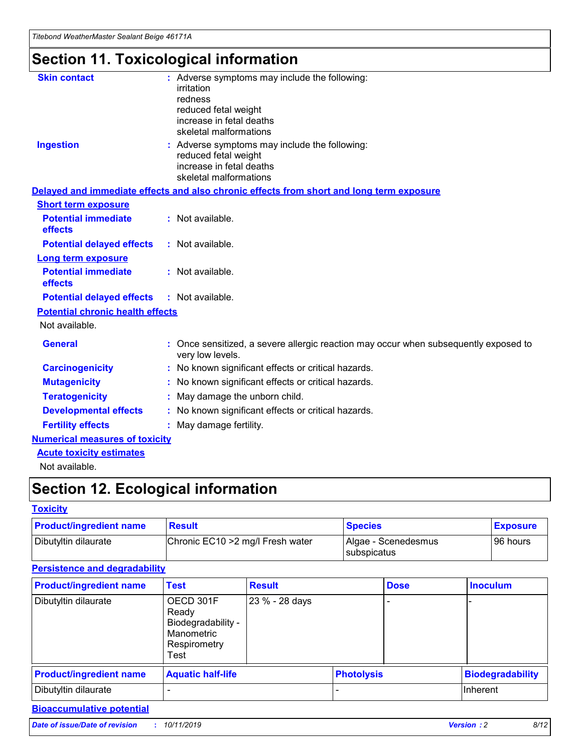## **Section 11. Toxicological information**

| <b>Skin contact</b>                     | : Adverse symptoms may include the following:                                                            |
|-----------------------------------------|----------------------------------------------------------------------------------------------------------|
|                                         | irritation                                                                                               |
|                                         | redness                                                                                                  |
|                                         | reduced fetal weight                                                                                     |
|                                         | increase in fetal deaths                                                                                 |
|                                         | skeletal malformations                                                                                   |
| <b>Ingestion</b>                        | : Adverse symptoms may include the following:                                                            |
|                                         | reduced fetal weight                                                                                     |
|                                         | increase in fetal deaths                                                                                 |
|                                         | skeletal malformations                                                                                   |
|                                         | Delayed and immediate effects and also chronic effects from short and long term exposure                 |
| <b>Short term exposure</b>              |                                                                                                          |
| <b>Potential immediate</b>              | : Not available.                                                                                         |
| effects                                 |                                                                                                          |
| <b>Potential delayed effects</b>        | : Not available.                                                                                         |
| Long term exposure                      |                                                                                                          |
| <b>Potential immediate</b>              | : Not available.                                                                                         |
| effects                                 |                                                                                                          |
| <b>Potential delayed effects</b>        | : Not available.                                                                                         |
| <b>Potential chronic health effects</b> |                                                                                                          |
| Not available.                          |                                                                                                          |
| <b>General</b>                          | : Once sensitized, a severe allergic reaction may occur when subsequently exposed to<br>very low levels. |
| <b>Carcinogenicity</b>                  | : No known significant effects or critical hazards.                                                      |
| <b>Mutagenicity</b>                     | : No known significant effects or critical hazards.                                                      |
| <b>Teratogenicity</b>                   | May damage the unborn child.                                                                             |
| <b>Developmental effects</b>            | : No known significant effects or critical hazards.                                                      |
| <b>Fertility effects</b>                | May damage fertility.                                                                                    |
| <b>Numerical measures of toxicity</b>   |                                                                                                          |
| <b>Acute toxicity estimates</b>         |                                                                                                          |
| الملحلة والمستحقق فالمرابط              |                                                                                                          |

Not available.

## **Section 12. Ecological information**

#### **Toxicity**

| <b>Product/ingredient name</b> | <b>Result</b>                     | <b>Species</b>                       | <b>Exposure</b> |
|--------------------------------|-----------------------------------|--------------------------------------|-----------------|
| Dibutyltin dilaurate           | Chronic EC10 > 2 mg/l Fresh water | Algae - Scenedesmus<br>I subspicatus | l 96 hours i    |

### **Persistence and degradability**

| <b>Product/ingredient name</b> | <b>Test</b>                                                                    | <b>Result</b>  |                   | <b>Dose</b> | <b>Inoculum</b>         |
|--------------------------------|--------------------------------------------------------------------------------|----------------|-------------------|-------------|-------------------------|
| Dibutyltin dilaurate           | OECD 301F<br>Ready<br>Biodegradability -<br>Manometric<br>Respirometry<br>Test | 23 % - 28 days |                   |             |                         |
| <b>Product/ingredient name</b> | <b>Aquatic half-life</b>                                                       |                | <b>Photolysis</b> |             | <b>Biodegradability</b> |
| Dibutyltin dilaurate           |                                                                                |                |                   |             | Inherent                |

### **Bioaccumulative potential**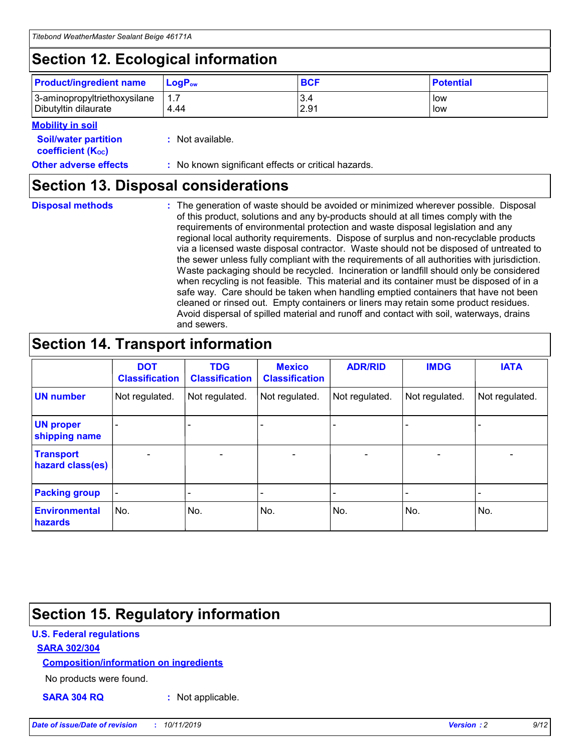## **Section 12. Ecological information**

| <b>Product/ingredient name</b> | $LoaPow$ | <b>BCF</b> | <b>Potential</b> |
|--------------------------------|----------|------------|------------------|
| 3-aminopropyltriethoxysilane   | 1.7      | 3.4        | low              |
| Dibutyltin dilaurate           | 4.44     | 2.91       | low              |

#### **Mobility in soil**

| <b>Soil/water partition</b><br>coefficient (K <sub>oc</sub> ) | : Not available.                                    |
|---------------------------------------------------------------|-----------------------------------------------------|
| <b>Other adverse effects</b>                                  | : No known significant effects or critical hazards. |

### **Section 13. Disposal considerations**

**Disposal methods :**

The generation of waste should be avoided or minimized wherever possible. Disposal of this product, solutions and any by-products should at all times comply with the requirements of environmental protection and waste disposal legislation and any regional local authority requirements. Dispose of surplus and non-recyclable products via a licensed waste disposal contractor. Waste should not be disposed of untreated to the sewer unless fully compliant with the requirements of all authorities with jurisdiction. Waste packaging should be recycled. Incineration or landfill should only be considered when recycling is not feasible. This material and its container must be disposed of in a safe way. Care should be taken when handling emptied containers that have not been cleaned or rinsed out. Empty containers or liners may retain some product residues. Avoid dispersal of spilled material and runoff and contact with soil, waterways, drains and sewers.

## **Section 14. Transport information**

|                                      | <b>DOT</b><br><b>Classification</b> | <b>TDG</b><br><b>Classification</b> | <b>Mexico</b><br><b>Classification</b> | <b>ADR/RID</b> | <b>IMDG</b>              | <b>IATA</b>              |
|--------------------------------------|-------------------------------------|-------------------------------------|----------------------------------------|----------------|--------------------------|--------------------------|
| <b>UN number</b>                     | Not regulated.                      | Not regulated.                      | Not regulated.                         | Not regulated. | Not regulated.           | Not regulated.           |
| <b>UN proper</b><br>shipping name    | $\blacksquare$                      |                                     |                                        |                |                          |                          |
| <b>Transport</b><br>hazard class(es) | $\blacksquare$                      | $\overline{\phantom{a}}$            | $\blacksquare$                         | $\blacksquare$ | $\overline{\phantom{a}}$ | $\blacksquare$           |
| <b>Packing group</b>                 | $\overline{\phantom{a}}$            | $\overline{\phantom{0}}$            | $\overline{\phantom{a}}$               | -              | $\overline{\phantom{0}}$ | $\overline{\phantom{a}}$ |
| <b>Environmental</b><br>hazards      | No.                                 | No.                                 | No.                                    | No.            | No.                      | No.                      |

## **Section 15. Regulatory information**

#### **U.S. Federal regulations**

#### **SARA 302/304**

#### **Composition/information on ingredients**

No products were found.

**SARA 304 RQ :** Not applicable.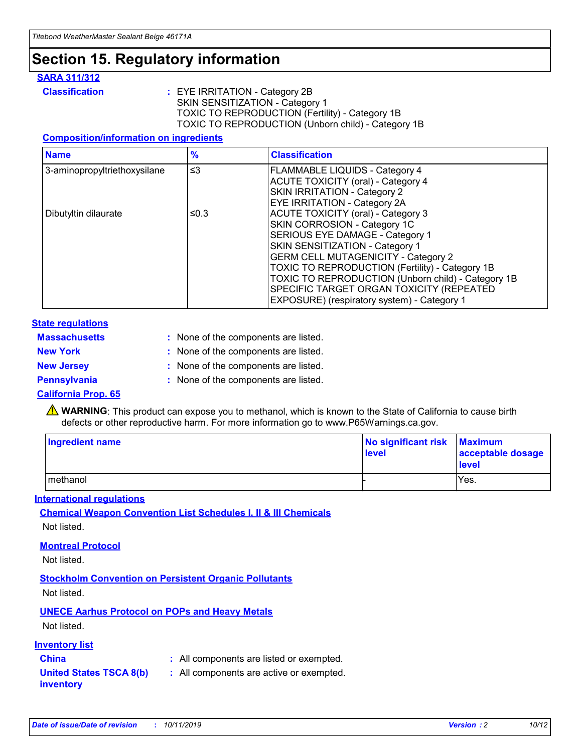## **Section 15. Regulatory information**

#### **SARA 311/312**

**Classification :** EYE IRRITATION - Category 2B SKIN SENSITIZATION - Category 1 TOXIC TO REPRODUCTION (Fertility) - Category 1B TOXIC TO REPRODUCTION (Unborn child) - Category 1B

#### **Composition/information on ingredients**

| <b>Name</b>                  | $\frac{9}{6}$ | <b>Classification</b>                                                                                            |
|------------------------------|---------------|------------------------------------------------------------------------------------------------------------------|
| 3-aminopropyltriethoxysilane | $\leq$ 3      | <b>FLAMMABLE LIQUIDS - Category 4</b><br><b>ACUTE TOXICITY (oral) - Category 4</b>                               |
|                              |               | SKIN IRRITATION - Category 2<br>EYE IRRITATION - Category 2A                                                     |
| Dibutyltin dilaurate         | ≤0.3          | ACUTE TOXICITY (oral) - Category 3<br>SKIN CORROSION - Category 1C                                               |
|                              |               | SERIOUS EYE DAMAGE - Category 1<br>SKIN SENSITIZATION - Category 1<br><b>GERM CELL MUTAGENICITY - Category 2</b> |
|                              |               | TOXIC TO REPRODUCTION (Fertility) - Category 1B<br>TOXIC TO REPRODUCTION (Unborn child) - Category 1B            |
|                              |               | SPECIFIC TARGET ORGAN TOXICITY (REPEATED<br>EXPOSURE) (respiratory system) - Category 1                          |

#### **State regulations**

| <b>Massachusetts</b> | : None of the components are listed. |
|----------------------|--------------------------------------|
| <b>New York</b>      | : None of the components are listed. |
| <b>New Jersey</b>    | : None of the components are listed. |
| <b>Pennsylvania</b>  | : None of the components are listed. |

#### **California Prop. 65**

**A** WARNING: This product can expose you to methanol, which is known to the State of California to cause birth defects or other reproductive harm. For more information go to www.P65Warnings.ca.gov.

| <b>Ingredient name</b> | No significant risk Maximum<br>level | acceptable dosage<br>level |
|------------------------|--------------------------------------|----------------------------|
| methanol               |                                      | Yes.                       |

#### **International regulations**

**Chemical Weapon Convention List Schedules I, II & III Chemicals** Not listed.

#### **Montreal Protocol**

Not listed.

#### **Stockholm Convention on Persistent Organic Pollutants**

Not listed.

### **UNECE Aarhus Protocol on POPs and Heavy Metals**

Not listed.

#### **Inventory list**

### **China :** All components are listed or exempted.

#### **United States TSCA 8(b) inventory :** All components are active or exempted.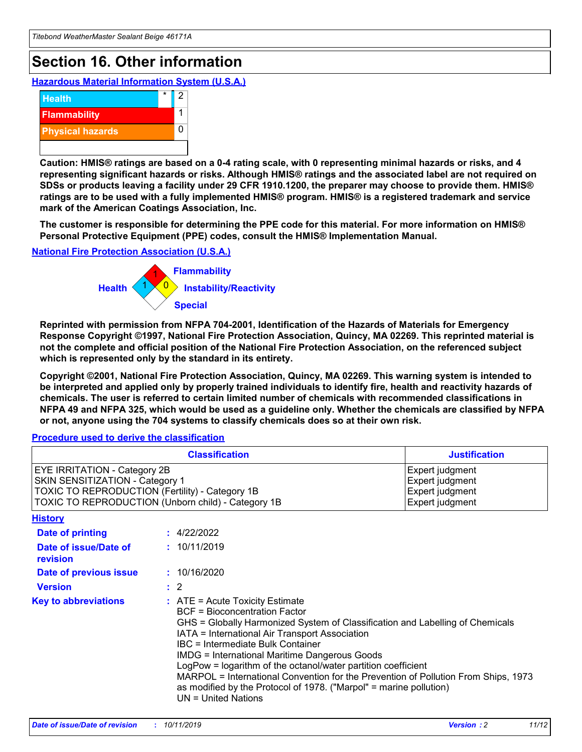## **Section 16. Other information**

**Hazardous Material Information System (U.S.A.)**



**Caution: HMIS® ratings are based on a 0-4 rating scale, with 0 representing minimal hazards or risks, and 4 representing significant hazards or risks. Although HMIS® ratings and the associated label are not required on SDSs or products leaving a facility under 29 CFR 1910.1200, the preparer may choose to provide them. HMIS® ratings are to be used with a fully implemented HMIS® program. HMIS® is a registered trademark and service mark of the American Coatings Association, Inc.**

**The customer is responsible for determining the PPE code for this material. For more information on HMIS® Personal Protective Equipment (PPE) codes, consult the HMIS® Implementation Manual.**

#### **National Fire Protection Association (U.S.A.)**



**Reprinted with permission from NFPA 704-2001, Identification of the Hazards of Materials for Emergency Response Copyright ©1997, National Fire Protection Association, Quincy, MA 02269. This reprinted material is not the complete and official position of the National Fire Protection Association, on the referenced subject which is represented only by the standard in its entirety.**

**Copyright ©2001, National Fire Protection Association, Quincy, MA 02269. This warning system is intended to be interpreted and applied only by properly trained individuals to identify fire, health and reactivity hazards of chemicals. The user is referred to certain limited number of chemicals with recommended classifications in NFPA 49 and NFPA 325, which would be used as a guideline only. Whether the chemicals are classified by NFPA or not, anyone using the 704 systems to classify chemicals does so at their own risk.**

**Procedure used to derive the classification**

| <b>Classification</b>                                                                                                                                                    |                                                                                                                                                                                                           | <b>Justification</b>                                                                                                                                                                                                                                                                                                                                               |  |
|--------------------------------------------------------------------------------------------------------------------------------------------------------------------------|-----------------------------------------------------------------------------------------------------------------------------------------------------------------------------------------------------------|--------------------------------------------------------------------------------------------------------------------------------------------------------------------------------------------------------------------------------------------------------------------------------------------------------------------------------------------------------------------|--|
| EYE IRRITATION - Category 2B<br>SKIN SENSITIZATION - Category 1<br>TOXIC TO REPRODUCTION (Fertility) - Category 1B<br>TOXIC TO REPRODUCTION (Unborn child) - Category 1B |                                                                                                                                                                                                           | Expert judgment<br>Expert judgment<br>Expert judgment<br>Expert judgment                                                                                                                                                                                                                                                                                           |  |
| <b>History</b>                                                                                                                                                           |                                                                                                                                                                                                           |                                                                                                                                                                                                                                                                                                                                                                    |  |
| Date of printing                                                                                                                                                         | : 4/22/2022                                                                                                                                                                                               |                                                                                                                                                                                                                                                                                                                                                                    |  |
| Date of issue/Date of<br>revision                                                                                                                                        | : 10/11/2019                                                                                                                                                                                              |                                                                                                                                                                                                                                                                                                                                                                    |  |
| Date of previous issue                                                                                                                                                   | : 10/16/2020                                                                                                                                                                                              |                                                                                                                                                                                                                                                                                                                                                                    |  |
| <b>Version</b>                                                                                                                                                           | $\therefore$ 2                                                                                                                                                                                            |                                                                                                                                                                                                                                                                                                                                                                    |  |
| <b>Key to abbreviations</b>                                                                                                                                              | $\therefore$ ATE = Acute Toxicity Estimate<br><b>BCF</b> = Bioconcentration Factor<br>IATA = International Air Transport Association<br><b>IBC</b> = Intermediate Bulk Container<br>$UN = United Nations$ | GHS = Globally Harmonized System of Classification and Labelling of Chemicals<br><b>IMDG = International Maritime Dangerous Goods</b><br>LogPow = logarithm of the octanol/water partition coefficient<br>MARPOL = International Convention for the Prevention of Pollution From Ships, 1973<br>as modified by the Protocol of 1978. ("Marpol" = marine pollution) |  |